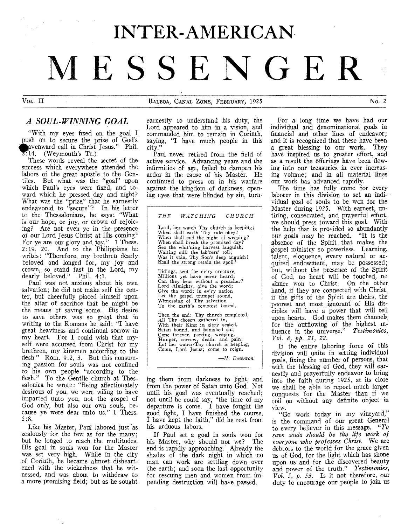**INTER-AMERICAN** 

# **MESSENGER**

### *A SOUL-WINNING GOAL*

"With my eyes fixed on the goal I push on to secure the prize of God's avenward call in Christ Jesus." Phil.  $5:14.$  (Weymouth's Tr.)

These words reveal the secret of the success which everywhere attended the labors of the great apostle to the Gentiles. But what was the "goal" upon which Paul's eyes were fixed, and toward which he pressed day and night? What was the "prize" that he earnestly endeavored to "secure"? In his letter to the Thessalonians, he says: "What is our hope, or joy, or crown of rejoicing? Are not even ye in the presence of our Lord Jesus Christ at His coming? For ye are our glory and joy." 1 Thess. 2:19, 20. And to the Philippians he writes: "Therefore, my brethren dearly beloved and longed for, my joy and crown, so stand fast in the Lord, my dearly beloved." Phil. 4:1.

Paul was not anxious about his own salvation; he did not make self the center, but cheerfully placed himself upon the altar of sacrifice that he might be the means of saving some. His desire to save others was so great that in writing to the Romans he said: "I have great heaviness and continual sorrow in my heart. For I could wish that myself were accursed from Christ for my brethren, my kinsmen according to the flesh." Rom. 9:2, 3. But this consuming passion for souls was not confined to his own people "according to the flesh." To the Gentile church at Thessalonica he wrote: "Being affectionately desirous of you, we were wiling to have imparted unto you, not the gospel of God only, but also our own souls, because ye were dear unto us." 1 Thess. 2;8.

Like his Master, Paul labored just 'as zealously for the few as for the many; but he longed to reach the multitudes. His goal in souls won for the Master was set very high. While in the city of Corinth, he became almost disheartened with the wickedness that he witnessed, and was about to withdraw to a more promising field; but as he sought

earnestly to understand his duty, the Lord appeared to him in a vision, and commanded him to remain in Corinth, saying, "I have much people in this city."

Paul never retired from the field of active service. Advancing years and the infirmities of age, failed to dampen his ardor in the cause of his Master. He continued to press on in his warfare against the kingdom of darkness, opening eyes that were blinded by sin, turn-

*THE WATCHING CHURCH*  Lord, her watch Thy church is keeping; When shall earth Thy rule obey? When shall end the night of weeping? When shall break the promised day? See the whit'ning harvest languish, Waiting still the lab'rers' toil; Was it vain, Thy Son's deep anguish? Shall the strong retain the spoil? Tidings, sent for ev'ry creature, Millions yet have never heard; Can they hear without a preacher? Lord Almighty, give the word; Give the word; in ev'ry nation Let the gospel trumpet sound, Witnessing of Thy salvation To the earth's remotest bound. Then the end: Thy church completed, All Thy chosen gathered in, With their King in glory seated, Satan bound, and banished sin; Gone forever, parting, weeping, Hunger, sorrow, death, and pain; Lo! her watch•Thy church is keeping, Come, Lord Jesus; come to reign.

—H. *D ownton.* 

ing them from darkness to light, and from the power of Satan unto God. Not until his goal was eventually reached; not until he could say, "the time of my departure is come. I have fought the good fight, I have finished the course, I have kept the faith," did he rest from his arduous labors.

If Paul set a goal in souls won for his Master, why should not we? The end is rapidly approaching. Already the shades of the dark night in which no man can work are settling down over the earth; and soon the last opportunity for rescuing men and women from impending destruction will have passed,

For a long time we have had our individual and denominational goals in financial and other lines of endeavor; and it is recognized that these have been a great blessing to our work. They have inspired us to greater effort, and as a result the offerings have been flowing into our treasuries in ever increasing volume; and in all material lines our work has advanced rapidly.

The time has fully come for every laborer in this division to set an individual goal of souls to be won for the Master during 1925. With earnest, untiring, consecrated, and prayerful effort, we should press toward this goal. With the help that is provided so abundantly our goals may be reached. "It is the absence of the Spirit that makes the gospel ministry so powerless. Learning, talent, eloquence, every natural or acquired endowment, may be possessed; but, without the presence of the Spirit of God, no heart will be touched, no sinner won to Christ. On the other hand, if they are connected with Christ, if the gifts of the Spirit are theirs, the poorest and most ignorant of His disciples will have a power that will tell upon hearts. God makes them channels for the outflowing of the highest influence in the universe." *Testimonies, Vol. 8, pp. 21, 22.* 

If the entire laboring force of this division will unite in setting individual goals, fixing the number of persons, that with the blessing of God, they will earnestly and prayerfully endeavor to bring into the faith during 1925, at its close we shall be able to report much larger conquests for the Master than if we toil on without any definite object in view.

"Go work today in my vineyard," is the command of our great General to every believer in this message. *"To save souls should be the life work of everyone who professes Christ.* We are debtors to the world for the grace given us of God, for the light which has shone upon us and for the discovered beauty and power of the truth." *Testimonies, Vol. 5,* p. *53.* Is it not therefore, our duty to encourage our people to join us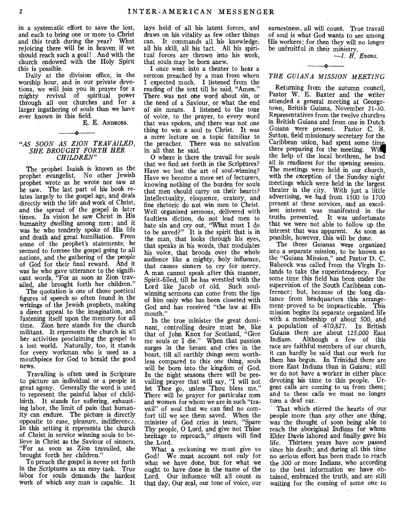in a systematic effort to save the lost, and each to bring one or more to Christ and this truth during the year? What rejoicing there will be in heaven if we should reach such a goal! And with the church endowed with the Holy Spirit this is possible.

Daily at the division office, in the worship hour, and in our private devotions, we will join you in prayer for a mighty revival of spiritual power through all our churches and for a larger ingathering of souls than we have ever known in this field.

E. E. ANDROSS.

#### *"AS SOON AS ZION TRAVAILED, SHE BROUGHT FORTH HER CHILDREN"*

سنغب

The prophet Isaiah is known as the prophet evangelist. No other Jewish prophet wrote as he wrote nor saw as he saw. The last part of his book relates largely to the gospel age, and deals directly with the life and work of Christ, and the spread of the gospel in later times. In vision he saw Christ in His humanity dwelling among men; and it was he who tenderly spoke of His life and death and great humiliation. From some of the prophet's statements-, he seemed to foresee the gospel going to all nations, and the gathering of the people of God for their final reward. And it was he who gave utterance to the significant words, "For as soon as Zion travailed, she brought forth her children."

The quotation is one of those poetical figures of speech so often found in the writings of the Jewish prophets, making a direct appeal to the imagination, and fastening itself upon the memory for all time. Zion here stands for the church militant. It represents the church in all her activities proclaiming the gospel to a lost world. Naturally, too, it stands for every workman who is used as a mouthpiece for God to herald the good news.

Travailing is often used in Scripture to picture an individual or a people in great agony. Generally the word is used to represent the painful labor of child<sup>3</sup> birth. It stands for suffering, exhausting labor, the limit of pain that humanity can endure. The picture is directly opposite to ease, pleasure, indifference. In this setting it represents the church of Christ in service winning souls to believe in Christ as the Saviour of sinners. "For as soon as Zion travailed, she brought forth her children."

To preach the gospel is never set forth in the Scriptures as an easy task. True labor for souls demands the hardest work of which any man is capable. It lays hold of all his latent forces, and draws on his vitality as few other things can. It commands all his knowledge, all his skill, all his tact. All his spiritual forces are thrown into his work, that souls may be born anew.

I once went into a theater to hear a sermon preached by a man from whom I expected much. I listened from the reading of the text till he said, "Amen." There was not one word about sin, or the need of a Saviour, or what the end of sin means. I listened to the tone of voice, to the prayer, to every word that was spoken, and there was not one thing to win a soul to Christ. It was a mere lecture on a topic familiar to the preacher. There was no salvation in all that he said.

0 where is there the travail for souls that we find set forth in the Scriptures? Have we lost the art of soul-winning? Have we become a mere set of lecturers, knowing nothing of the burden for souls that men should carry on their hearts? Intellectuality, eloquence, oratory, and fine rhetoric do not win men to Christ. Well organized sermons, delivered with faultless diction, do not lead men to hate sin and cry out, "What must I do to be saved?" It is the spirit that is in the man, that looks through his eyes. that speaks in his words, that modulates his voice, that broods over the whole audience like a mighty, holy influence, that causes sinners to cry for mercy. A man cannot speak after this manner, Spirit-filled, till he has wrestled with the Lord like Jacob of old. Such soulwinning sermons can come from the lips of him only who has been closeted with God and has received "the law at His mouth."

In the true minister the great dominant, controlling desire must be, like that of John Knox for Scotland, "Give me souls or I die." When that passion surges in the breast and cries in the heart, till all earthly things seem worthless compared to this one thing, souls will be born into the kingdom of God. In the night seasons there will be prevailing prayer that will say, "I will not let Thee go, unless 'Thou bless me." There will be prayer for particular men and women for whom we are in such "travail" of soul that we can find no comfort till we see them saved. When the minister of God cries in tears, "Spare Thy people, 0 Lord, and give not Thine heritage to reproach," sinners will find the Lord.

What a reckoning we must give to God! We must account not only for what we have done, but for what we ought to have done in the name of the Lord. Our influence will all count in that day. Our zeal, our tone of voice, our

earnestness, all will count. True travail of soul is what God wants to see among His workers; for then they will no longer be unfruitful in their ministry.

*—I. H. Evans.* 

### *THE GUIANA MISSION MEETING*

Returning from the autumn council, Pastor W. E. Baxter and the writer attended a general meeting at Georgetown, British Guiana, November 21-30. Representatives from the twelve churches in British Guiana and from one in Dutch Guiana were present. Pastor C. B. Sutton, field missionary secretary for the Caribbean union, had spent some time there preparing for the meeting. Wi the help of the local brethren, he had all in readiness for the opening session. The meetings were held in our church, with the exception of the Sunday night meetings which were held in the largest theater in the city. With just a little advertising, we had from 1500 to 1700 present at these services, and an excellent interest was manifested in the truths presented. It was unfortunate that we were not able to follow up the interest that was apparent. As soon as possible, however, this will be done.

The three Guianas were organized into a separate mission, to be known as the "Guiana Mission," and Pastor D. C. Babcock was called from the Virgin Islands to take the superintendency. For some time this field has been under the supervision of the South Caribbean conference; but, because of the long distance from headquarters this arrangement proved to be impracticable. This mission begins its separate organized life with a membership of about 500, and a population of 470,827. In British Guiana there are about 125,000 East Indians. Although a few of this race are faithful members of our church, it can hardly be said that our work for them has begun. In Trinidad there are more East Indians than in Guiana; still we do not have a worker in either place devoting his time to this people. Urgent calls are coming to us from them; and to these calls we must no longer turn a deaf ear.

That which stirred the hearts of our people more than any other one thing, was the thought of soon being able to reach the aboriginal Indians for whom Elder Davis labored and finally gave his life. Thirteen years have now passed since his death; and during all this time no serious effort has been made to reach the 300 or more Indians, who according to the best information we have obtained, embraced the truth, and are still waiting for the coming of some one to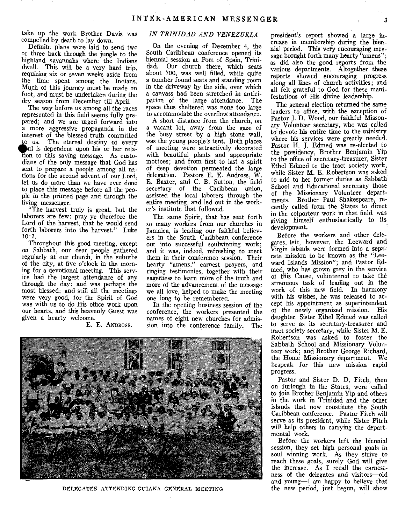take up the work Brother Davis was compelled by death to lay down.

Definite plans were laid to send two or three back through the jungle to the highland savannahs where the Indians dwell. This will be a very hard trip, requiring six or seven weeks aside from the time spent among the Indians. Much of this journey must be made on foot, and must be undertaken during the dry season from December till April.

The way before us among all the races represented in this field seems fully prepared; and we are urged forward into a more aggressive propaganda in the interest of the blessed truth committed<br>to us. The eternal destiny of every ul is dependent upon his or her relation to this saving message. As custodians of the only message that God has sent to prepare a people among all nations for the second advent of our Lord, let us do more than we have ever done to place this message before all the people in the printed page and through the living messenger.

"The harvest truly is great, but the laborers are few: pray ye therefore the Lord of the harvest, that he would send forth laborers into the harvest." Luke 10:2.

Throughout this good meeting, except on Sabbath, our dear people gathered regularly at our church, in the suburbs of the city, at five o'clock in the morning for a devotional meeting. This service had the largest attendance of any through the day; and was perhaps the most blessed; and still all the meetings were very good, for the Spirit of God was with us to do His office work upon our hearts, and this heavenly Guest was given a hearty welcome.

E. E. ANDROSS.

#### *IN TRINIDAD AND VENEZUELA*

On the evening of December 4, the South Caribbean conference opened its biennial session at Port of Spain, Trinidad. Our church there, which seats about 700, was well filled, while quite a number found seats and standing room in the driveway by the side, over which a canvass had been stretched in anticipation of the large attendance. The space thus sheltered was none too large to accommodate the overflow attendance.

A short distance from the church, on a vacant lot, away from the gaze of the busy street by a high stone wall, was the young people's tent. Both places of meeting were attractively decorated with beautiful plants and appropriate mottoes; and from first to last a spirit of deep devotion permeated the large delegation. Pastors E. E. Andross, W. E. Baxter, and C. B. Sutton, the field secretary of the Caribbean union, assisted the local laborers through the entire meeting, and led out in the worker's institute that followed.

The same Spirit, that has sent forth so many workers from our churches in Jamaica, is leading our faithful believers in the South Caribbean conference out into successful soulwinning work; and it was, indeed, refreshing to meet them in their conference session. Their hearty "amens," earnest prayers, and ringing testimonies, together with their eagerness to learn more of the truth and more of the advancement of the message we all love, helped to make the meeting one long to be remembered.

In the opening business session of the conference, the workers presented the names of eight new churches for admis-<br>sion into the conference family. The sion into the conference family.



DELEGATES ATTENDING GUIANA GENERAL MEETING

president's report showed a large increase in membership during the biennial period. This very encouraging message brought forth many hearty "amens"; as did also the good reports from the various departments. Altogether these reports showed encouraging progress along all lines of church activities; and all felt grateful to God for these manifestations of His divine leadership.

The general election returned the same leaders to office, with the exception of Pastor J. D. Wood, our faithful Missonary Volunteer secretary, who was called to devote his entire time to the ministry where his services were greatly needed. Pastor H. J. Edmed was re-elected to the presidency, Brother Benjamin Yip to the office of secretary-treasurer, Sister Ethel Edmed to the tract society work, while Sister M. E. Robertson was asked to add to her former duties as Sabbath School and Educational secretary those of the Missionary Volunteer departments. Brother Paul Shakespeare, recently called from the States to direct in the colporteur work in that field, was giving himself enthusiastically to its development.

Before the workers and other delegates, left, however, the Leeward and Virgin islands were formed into a separate mission to be known as the "Leeward Islands Mission"; and Pastor Edmed, who has grown grey in the service of this Cause, volunteered to take the strenuous task of leading out in the work of this new field. In harmony with his wishes, he was released to accept his appointment as superintendent of the newly organized mission. His daughter, Sister Ethel Edmed was called to serve as its secretary-treasurer and tract society secretary, while Sister M. E. Robertson was asked to foster the Sabbath School and Missionary Volunteer work; and Brother George Richard, the Home Missionary department. We bespeak for this new mission rapid progress.

Pastor and Sister D. D. Fitch, then on furlough in the States, were called to join Brother Benjamin Yip and others in the work in Trinidad and the other islands that now constitute the South Caribbean conference. Pastor Fitch will serve as its president, while Sister Fitch will help others in carrying the departmental work.

Before the workers left the biennial session, they set high personal goals in soul winning work. As they strive to reach these goals, surely God will give the increase. As I recall the earnestness of the delegates and visitors—old and young—I am happy to believe that the new period, just begun, will show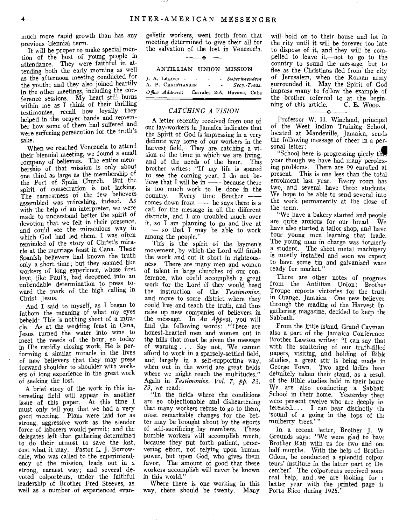much more rapid growth than has any previous biennial term.

It will be proper to make special mention of the host of young people in attendance. They were faithful in attending both the early morning as well as the afternoon meeting conducted for the youth; and they also joined heartily in the other meetings, including the conference sessions. My heart still burns within me as I think of their thrilling testimonies, recall how loyally they helped in the prayer bands and remember how some of them had suffered and were suffering persecution for the truth's sake.

When we reached Venezuela to attend their biennial meeting, we found a small company of believers. The entire membership of that mission is only about one third as large as the membership of the Port of Spain Church. But the spirit of consecration is not lacking. The earnestness of the few believers assembled was refreshing, indeed. As with the help of an interpreter, we were made to understand better the spirit of devotion that we felt in their presence, and could see the miraculous way in which God had led them, I was often reminded of the story of Christ's miracle at the marriage feast in Cana. These Spanish believers had known the truth only a short time; but they seemed like workers of long experience, whose first love, like Paul's, had deepened into an unbendable determination to press toward the mark of the high calling in Christ Jesus.

And I said to myself, as I began to fathom the meaning of what my eyes beheld: This is nothing short of a miracle. As at the wedding feast in Cana, Jesus turned the water into wine to meet the needs of the hour, so today in His rapidly closing work, He is performing a similar miracle in the lives of new believers that they may press forward shoulder to shoulder with workers of long experience in the great work of seeking the lost.

A brief story of the work in this interesting field will appear in another issue of this paper. At this time I must only tell you that we had a very good meeting. Plans were laid for as strong, aggressive work as the slender force of laborers would permit; and the delegates left that gathering determined to do their utmost to save the lost, cost what it may. Pastor L. J. Borrowdale, who was called to the superintendency of the mission, leads out in a strong, earnest way; and several devoted colporteurs, under the faithful leadership of Brother Fred Steeves, as well as a number of experienced evangelistic workers, went forth from that meeting determined to give their all for the salvation of the lost in Venezuela.  $\mathbf{r}$ 

| <b>ANTILLIAN</b> | UNION | MISSION |
|------------------|-------|---------|
|                  |       |         |

| J. A. LELAND -                             | ٠                        | - Superintendent |  |
|--------------------------------------------|--------------------------|------------------|--|
| A. P. CHRISTIANSEN                         | <b>Contract Contract</b> | - Secy.-Treas.   |  |
| Office Address: Corrales 2-A, Havana, Cuba |                          |                  |  |

#### *CATCHING A VISION*

A letter recently received from one of our lay-workers in Jamaica indicates that the Spirit of God is impressing in a very definite way some of our workers in the harvest field. They are catching a vision of the time in which we are living, and of the needs of the hour. This brother writes: "If my life is spared to see the coming year, I do not believe that I will be in — because there is too much work to be done in the country. Every time Brother comes down from — he says there is a call for the message in all the different districts, and I am troubled much over it, so I am planning to go and live at so that I may be able to work among the people."

This is' the spirit of the laymen's movement, by which the Lord will finish the work and cut it short in righteousness. There are many men and women of talent in large churches of our conference, who could accomplish a great work for the Lord if they would heed the instruction of the *Testimonies,*  and move to some district .where they could live and teach the truth, and thus raise up new companies of believers in the message. In *An Appeal,* you will find the following words: "There are honest-hearted men and women out in thg hills that must be given the message of warning . . • Say not, 'We cannot afford to work in a sparsely-settled field, and largely in a self-supporting way, when out in the world are great fields where we might reach the multitudes." Again in *Testimonies, Vol. 7, pp. 2?, 23,* we read:

"In the fields where the conditions are so objectionable and disheartening that many workers refuse to go to them, most remarkable changes for the better may be brought about by the efforts of self-sacrificing lay members. These humble workers will accomplish much, because they put forth patient, persevering effort, not relying upon human power, but upon God, who gives them favor. The amount of good that these workers accomplish will never be known in this world."

Where there is one working in this<br>by, there should be twenty. Many way, there should be twenty.

will hold on to their house and lot in the city until it will be forever too late to dispose of it, and they will be compelled to leave it,—not to go to the country to sound the message, but to flee as the Christians fled from the city of Jerusalem, when the Roman army surrounded it. May the Spirit of God impress many to follow the example of the brother referred to at the begin-<br>ning of this article. C. E. Woop. ning of this article.

Professor W. H. Wineland, principal of the West Indian Training School, located at Mandeville, Jamaica, sends the following message of cheer in a personal letter:

"School here is progressing nicely th year though we have had many perplexing problems. There are 99 enrolled at present. This is one less than the total enrolment last year. Every room has two, and several have three students. We hope to be able to send several into the work permanently at the close of the term.

"We have a bakery started and people are quite anxious for our bread. We have also started a tailor shop, and have four young men learning that trade. The young man in charge was formerly a student. The sheet metal machinery is mostly installed and soon we expect to have some tin and galvanized ware ready for market."

There are other notes of progress from the Antillian Union: Brother Troupe reports victories for the truth in Orange, Jamaica. One new believer. through the reading of the Harvest In. gathering magazine, decided to keep the Sabbath.

From the little island, Grand Cayman, also a part of the Jamaica Conference. Brother Lawson writes: "I can say that with the scattering of our truth-filled papers, visiting, and holding of Bible studies, a great stir is being made in George Town. Two aged ladies have definitely taken their stand, as a result of the Bible studies held in their home We are also conducting a Sabbath School in their home. Yesterday there were present twelve who are deeply in terested.... I can hear distinctly the 'sound of a going in the tops of the mulberry trees.'"

In a recent letter, Brother J. W Grounds says: "We were glad to have Brother Raff with us for two and one half months. With the help of Brother Odom, he conducted a splendid colpor teurs' institute in the latter part of De cember! The colporteurs received some real help, and we are looking for ( better year with the printed page in Porto Rico during 1925."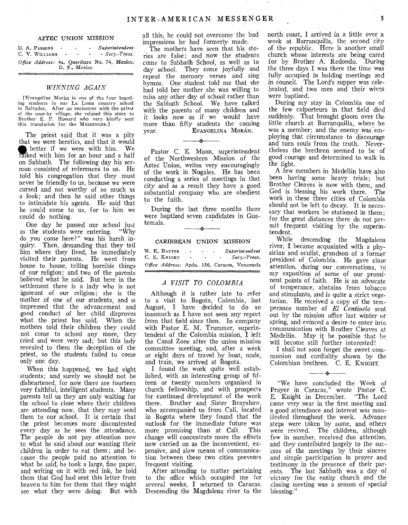#### AZTEC UNION MISSION

| D. A. PARSONS -                               | $\sim$        |  | Superintendent  |  |
|-----------------------------------------------|---------------|--|-----------------|--|
| C. V. WILLIAMS -                              |               |  | $ Secv.$ Treas. |  |
| Office Address: 4a, Querétaro No. 74, Mexico, | D. F., Mexico |  |                 |  |

#### *WINNING AGAIN*

[Evangelina Morán is one of the four boarding students in our La Loma country school in Salvador. After an encounter with the priest of the near-by village, she related this story to Brother E. P. Howard who very kindly sent this translation for the MESSENGER.]

The priest said that it was a pity that we were heretics, and that it would better if we were with him. We talked with him for an hour and a half on Sabbath. The following day his sermon consisted of references to us. He told his congregation that they must never be friendly to us, because we were cursed and not worthy of so much as a look; and then he said other things to intimidate his agents. He said that he could come to us, for to him we could do nothing.

One day he passed our school just as the students were entering. "Why do you come here?" was his harsh inquiry. Then, demanding that they tell him where they lived, he immediately visited their parents. He went from house to house, telling horrible things of our religion; and two of the parents believed what he said. But here in the settlement there is a lady who is not ignorant of our religion; she is the mother of one of our students, and is impressed that the advancement and good conduct of her child disproves what the priest has said. When the mothers told their children they could not come to school any more, they cried and were very sad; but this lady revealed to them the deception of the priest, so the students failed to come only one day.

When this happened, we had eight students; and surely we should not be disheartened, for now there are fourteen very faithful, intelligent students. Many parents tell us they are only waiting for the school to close where their children are attending now, that they may send them to our school. It is certain that the priest becomes more discontented every day as he sees the attendance. The people do not pay attention now to what he said about our wanting their children in order to eat them; and because the people paid no attention to what he said, he took a large, fine paper, and writing on it with red ink, he told them that God had sent this letter from heaven to him for them that they might see what they were doing. But with

all this, he could not overcome the bad impressions he had formerly made.

The mothers have seen that his stories are false; and now the students come to Sabbath School, as well as to day school. They come joyfully and repeat the memory verses and sing hymns. One student told me that she had told her mother she was willing to miss any other day of school rather than the Sabbath School. We have talked with the parents of many children and it looks now as if we would have more than fifty students the coming year. EVANGELINA MORÁN.

Pastor C. E. Moon, superintendent of the Northwestern Mission of the Aztec Union, writes very encouragingly of the work in Nogales. He has been conducting a series of meetings in that city and as a result they have a good substantial company who are obedient to the faith.

During the last three months there were baptized seven candidates in Guatemala.

#### CARIBBEAN UNION MISSION

| W. E. BAXTER |   | Superint end ent                              |
|--------------|---|-----------------------------------------------|
| C. E. KNIGHT | ۰ | Sec v.-Treas.                                 |
|              |   | Office Address: Apdo. 136, Caracas, Venezuela |

#### *A VISIT TO COLOMBIA*

Although it is rather late to refer to a visit to Bogota, Colombia, last August, I have decided to do so inasmuch as I have not seen any report from that field since then. In company with Pastor E. M. Trummer, superintendent of the Colombia mission, I left the Canal Zone after the union mission committee meeting, and, after a week or eight days of travel by boat, mule, and train, we arrived at Bogota.

I found the work quite well established, with an interesting group of fifteen or twenty members organized in church fellowship, and with prospects for continued development of the work there. Brother and Sister Brayshaw, who accompanied us from Cali, located in Bogota where they found that the outlook for the immediate future was more promising than at Cali. This more promising than at Cali. change will concentrate more the efforts now carried on as the inconvenient, expensive, and slow means of communication between these two cities prevenrs frequent visiting.

After attending to matter pertaining to the office which occupied me for several weeks, I returned to Caracas. Descending the Magdalena river to the

north coast, I arrived in a little over a week at Barranquilla, the second city of the republic. Here is another small church whose interests are being cared for by Brother A. Redondo. During the three days I was there the time was fully occupied in holding meetings and in council. The Lord's supper was celebrated, and two men and their wives were baptized.

During my stay in Colombia one of the few colporteurs in that field died suddenly. That brought gloom over the little church at Barranquilla, where he was a member; and the enemy was employing that circumstance to discourage and turn souls from the truth. Nevertheless the brethren seemed to be of good courage and determined to walk in the light.

A few members in Medellin have also been having some heavy trials; but Brother Cleaves is now with them, and God is blessing his work there. The work in these three cities of Colombia should not be left to decay. It is necessary that workers be stationed in them; for the great distances there do not permit frequent visiting by the superintendent.

descending the Magdalena river, I became acquainted with a physician and oculist, grandson of a former president of Colombia. He gave close attention, during our conversations, to my exposition of some of our prominent points of faith. He is an advocate of temiperance, abstains from tobacco and stimulants, and is quite a strict vegetarian. He received a copy of the temperance number of *El Centinela* sent out by the mission office last winter or spring, and evinced a desire to enter into communication with Brother Cleaves at Medellin. May it be possible that he will become still further interested!

I shall not soon forget the sweet communion and cordiality shown by the Colombian brethren. C. E. KNIGHT.

 $\mathbf{r}$ 

"We have concluded the Week of Prayer in Caracas," wrote Pastor C. E. Knight in December. "The Lord came very near in the first meeting and a good attendance and interest was manifested throughout the week. Advance steps were taken by some, and others were revived. The children, although few in number, received due attention, and they contributed largely to the success of the meetings by their sincere and simple participation in prayer and testimony in the presence of their parents. The last Sabbath was a day of victory for the entire church and the closing meeting was a season of special blessing.'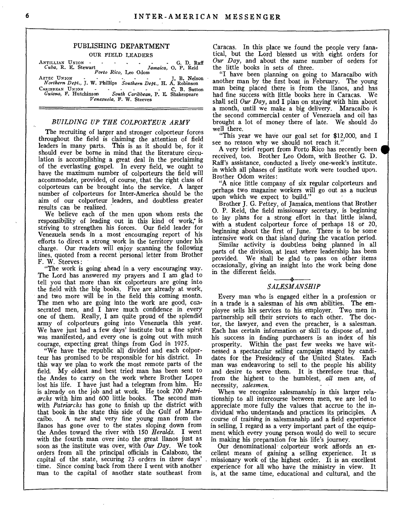### PUBLISHING DEPARTMENT

OUR FIELD LEADERS<br>ANTILLIAN UNION ANTILLIAN UNION - G. D. Raff *Cuba,* R. E. Stewart *Jamaica,* 0. P. Reid *Porto Rico,* Leo Odom ANTILLIAN UNION<br>
Cuba, R. E. Stewart<br> *Porto Rico*, Leo Odom<br> *AzTEC UNION*<br> *Northern Dept.*, J. W. Phillips *Southern Dept.*, H. A. Robinson<br> *Northern Dept.*, J. W. Phillips *Southern Dept.*, H. A. Robinson

CARIBBEAN UNION C. B. Sutton *Guiana,* F. Hutchinson *South Caribbean,* P. E. Shakespeare *Venezuela,* F. W. Steeves

#### *BUILDING UP THE COLPORTEUR ARMY*

The recruiting of larger and stronger colporteur forces throughout the field is claiming the attention of field leaders in many parts. This is as it should be, for it should ever be borne in mind that the literature circulation is accomplishing a great deal in the proclaiming of the everlasting gospel. In every field, we ought to have the maximum number of colporteurs the field will accommodate, provided, of course, that the right class of colporteurs can be brought into the service. A larger number of colporteurs for Inter-America should be the aim of our colporteur leaders, and doubtless greater results can be realized.

We believe each of the men upon whom rests the responsibility of leading out in this kind of work, is striving to strengthen his forces. Our field leader for Venezuela sends in a most encouraging report of his efforts to direct a strong work in the territory under his charge. Our readers will enjoy scanning the following lines, quoted from a recent personal letter from Brother F. W. Steeves:

"The work is going ahead in a very encouraging way. The Lord has answered my prayers and I am glad to tell you that more than six colporteurs are going into the field with the big books. Five are already at work, and two more will be in the field this coming montn. The men who are going into the work are good, consecrated men, and I have much confidence in every one of them. Really, I am quite proud of the splendid army of colporteurs going into Venezuela this year. We have just had a few days' institute but a fine spirit was manifested, and every one is going out with much courage, expecting great things from God in 1925.

"We have the republic all divided and each colporteur has promised to be responsible for his district. In this way we plan to work the most remote parts of the field. My oldest and best tried man has been sent to the Andes to carry on the work where Brother Lopez lost his life. I have just had a telegram from him. He is already on the job and at work. He took 200 *Patriarchs* with him and 600 little books. The second *man*  with *Patriarchs* has gone to finish up the district with that book in the state this side of the Gulf of Mara-A new and very fine young man from the llanos has gone over to the states sloping down from the Andes toward the river with 150 *Heralds.* I went with the fourth man over into the great llanos just as soon as the institute was over, with *Our Day. We* took orders from all the principal officials in Calabozo, the capital of the state, securing 23 orders in three days' time. Since coming back from there I went with another man to the capital of another state southeast from

Caracas. In this place we found the people very fanatical, but the Lord blessed us with eight orders for *Our Day,* and about the same number of orders for the little books in sets of three.

"I have been planning on going to Maracaibo with another man by the first boat in February. The young man being placed there is from the llanos, and has had fine success with little books here in Caracas. We shall sell *Our Day,* and I plan on staying' with him about a month, until we make a big delivery. Maracaibo is the second commercial center of Venezuela and oil has brought a lot of money there of late. We should do well there. •

"This year we have our goal set for \$12,000, and I see no reason why we should not reach it."

A very brief report from Porto Rico has recently been received, too. Brother Leo Odom, with Brother G. D. Raff's assistance, conducted a lively one-week's institute. in which all phases of institute work were touched upon. Brother Odom writes:

"A nice little company of six regular colporteurs and perhaps two magazine workers will go out as a nucleus upon which we expect to build."

Brother J. G. Pettey, of Jamaica, mentions that Brother 0. P. Reid, the field missionary secretary, is beginning to lay plans for a strong effort in that little island, with a student colporteur force of perhaps 18 or 20, beginning about the first of June. There is to be some intensive work on that island during the vacation period.

Similar activity is doubtless being planned in all parts of the division, at least where leadership has been provided. We shall be glad to pass on other items occasionally, giving an insight into the work being done in the different fields.

#### *SALESMANSHIP*

Every man who is engaged either in a profession or in a trade is a salesman of his own abilities. The employee sells his services to his employer. Two men in partnership sell their services to each other. The doctor, the lawyer, and even the preacher, is a salesman. Each has certain information or skill to dispose of, and his success in finding purchasers is an index of his prosperity. Within the past few weeks we have witnessed a spectacular selling campaign staged by candidates for the Presidency of the United States. Each man was endeavoring to sell to the people his ability and desire to serve them. It is therefore true that, from the highest to the humblest, *all* men are, of necessity, *salesmen.* 

When we recognize salesmanship in this larger relationship to all intercourse between men, we are led to appreciate more fully the values that accrue to the individual who understands and practices its principles. A course of training in salesmanship and a field experience in selling, I regard as a very important part of the equipment which every young person would do well to secure in making his preparation for his life's journey.

Our denominational colporteur work affords an excellent means of gaining a selling experience. It is missionary work of the highest order. It is an excellent experience for all who have the ministry in view. It is, at the same time, educational and cultural, and the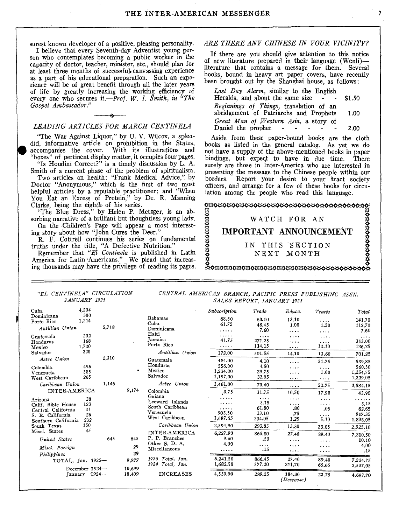surest known developer of a positive, pleasing personality.

I believe that every Seventh-day Adventist young person who contemplates becoming a public worker in the capacity of doctor, teacher, minister, etc., should plan for at least three months of successful. canvassing experience as a part of his educational preparation. Such an experience will be of great benefit through all the later years of life by greatly increasing the working efficiency of every one who secures *it.-Prof. W. I. Smith, in "The Gospel Ambassador."* 

#### *LEADING ARTICLES FOR MARCH CENTINELA*

"The War Against Liquor," by U. V. Wilcox, a splendid, informative article on prohibition in the States, accompanies the cover. With its illustrations and "boxes" of pertinent display matter, it occupies four pages.

"Is Houdini Correct?" is a timely discussion by  $L$ . A. Smith of a current phase of the problem of spiritualism.

Two articles on health: "Frank Medical Advice," by Doctor "Anonymous," which is the first of two most helpful articles by a reputable practitioner; and "When You Eat an Excess of Protein," by Dr. R. Manning Clarke, being the eighth of his series.

"The Blue Dress," by Helen P. Metzger, is an absorbing narrative of a brilliant but thoughtless young lady. On the Children's Page will appear a most interest-

ing story about how "John Cures the Deer."

R. F. Cottrell continues his series on fundamental truths under the title, "A Defective Nutrition."

Remember that *"El Centinela* is published in Latin America for Latin Americans." We plead that increasing thousands may have the privilege of reading its pages.

#### *ARE THERE ANY CHINESE IN YOUR VICINITY?*

7

If there are you should give attention to this notice of new literature prepared in their language (Wenli) literature that contains a message for them. Several books, bound in heavy art paper covers, have recently been brought out by the Shanghai house, as follows:

| Last Day Alarm, similar to the English          |      |
|-------------------------------------------------|------|
| Heralds, and about the same size - - \$1.50     |      |
| <i>Beginnings of Things</i> , translation of an |      |
| abridgement of Patriarchs and Prophets          | 1.00 |
| Great Man of Western Asia, a story of           |      |
| Daniel the prophet - - - - -                    | 2.00 |

Aside from these paper-bound books are the cloth books as listed in the general catalog. As yet we do not have a supply of the above-mentioned books in paper bindings, but expect to have in due time. There surely are those in Inter-America who are interested in presenting the message to the Chinese people within our borders. Report your desire to your 'tract society officers, and arrange for a few of these books for circulation among the people who read this language.

## WATCH FOR AN IMPORTANT ANNOUNCEMENT IN THIS SECTION NEXT MONTH

*"EL CENTINELA" CIRCULATION CENTRAL AMERICAN BRANCH, PACIFIC PRESS PUBLISHING ASSN. JANUARY 1925 SALES REPORT, JANUARY 1925* 

| Cuba                 | 4,204                  |           |                  | Subscription         | Trade            | Educa.               | Tracts           | Total    |
|----------------------|------------------------|-----------|------------------|----------------------|------------------|----------------------|------------------|----------|
| Dominicana           | 300<br>1,214           |           | <b>Bahamas</b>   | 68.50                | 60.10            | 13.10                | $\cdots$         | 141.70   |
| Porto Rico           |                        |           | Cuba             | 61.75                | 48.45            | 1.00                 | 1.50             | 112.70   |
| Antillian Union      | 5,718                  |           | Dominicana       | .                    | 7.60             | .                    | .                | 7.60     |
| Guatemala            | 202                    |           | Haiti            | .                    | $\cdots$         | $\cdots$             | $\cdots$         | $\cdots$ |
| Honduras             | 168                    |           | Jamaica          | 41.75                | 271.25           | .                    | $\cdots$         | 313.00   |
| Mexico               | 1,720                  |           | Porto Rico       | .                    | 114.15           | .                    | 12.10            | 126.25   |
| Salvador             | 220                    |           | Antillian Union  | 172.00               | 501.55           | 14.10                | 13.60            | 701.25   |
| Aztec Union          | 2.310                  |           | Guatemala        | 484.00               | 4.10             | .                    | 51.75            | 539.85   |
| Colombia             | 496                    |           | Honduras         | 556.00               | 4.50             | .                    |                  | 560.50   |
| Venezuela            | 385                    | $\bullet$ | Mexico           | 1,224.00             | 29.75            | $\cdots$             | $\cdots$<br>1.00 | 1,254.75 |
| West Caribbean       | 265                    |           | Salvador         | 1,197.00             | 32.05            |                      |                  | 1,229.05 |
| Caribbean Union      | 1,146                  |           | Aztec Union      | 3,461.00             | 70.40            | .                    | 52.75            | 3,584.15 |
| <b>INTER-AMERICA</b> |                        | 9,174     | Colombia         | 3.75                 | 11.75            | 10.50                | 17.90            | 43.90    |
| Arizona              | 28                     |           | Guiana           | .                    | .                | $\cdots$             | .                | .        |
| Calif. Bible House   | 123                    |           | Leeward Islands  | $\cdots$             | 3.15             | $\cdots$             | .                | 3.15     |
| Central California   | 41                     |           | South Caribbean  | .                    | 61.80            | .80                  | .05              | 62.65    |
| S. E. California     | 26                     |           | Venezuela        | 903.50               | 13.10            | .75                  | .                | 917.35   |
| Southern California  | 232                    |           | West Caribbean   | 1,687.65             | 204.05           | 1.25                 | 5.10             | 1,898.05 |
| South Texas          | 150                    |           | Caribbean Union  | 2,594.90             | 293.85           | 13.30                | 23.05            | 2,925.10 |
| Miscl. States        | 45                     |           | INTER-AMERICA    | 6,227.90             | 865.80           | 27.40                | 89.40            | 7,210.50 |
| United States        | 645                    | 645       | P. P. Branches   | 9.60                 | .50              | $\cdots$             | .                | 10.10    |
|                      |                        | 29        | Other S. D. A.   | 4.00                 | .                | .                    | .                | 4.00     |
| Miscl. Foreign       |                        |           | Miscellaneous    | .                    | .15              | .                    | .                | .15      |
| Philippines          |                        | 29        | 1925 Total, Jan. |                      |                  |                      |                  |          |
|                      | $TOTAL$ , Tan. $1925-$ | 9,877     | 1924 Total, Jan. | 6,241.50<br>1,682.50 | 866.45<br>577.20 | 27.40                | 89.40            | 7,224.75 |
|                      | December 1924-         | 10.699    |                  |                      |                  | 211.70               | 65.65            | 2,537,05 |
|                      | Tanuary 1924-          | 18,409    | <b>INCREASES</b> | 4,559,00             | 289.25           | 184.30<br>(Decrease) | 23.75            | 4,687.70 |